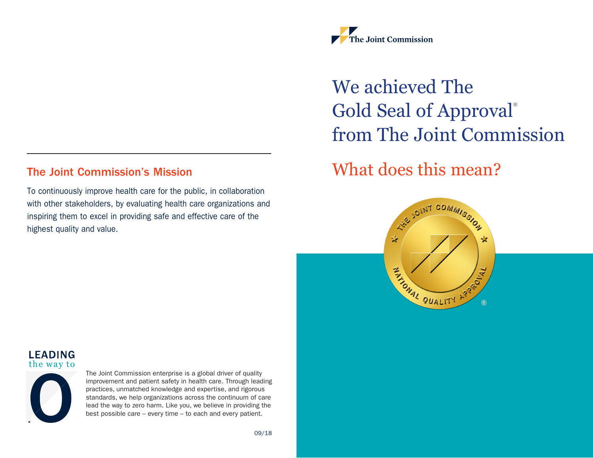#### The Joint Commission's Mission

To continuously improve health care for the public, in collaboration with other stakeholders, by evaluating health care organizations and inspiring them to excel in providing safe and effective care of the highest quality and value.



# We achieved The Gold Seal of Approval® from The Joint Commission

# What does this mean?







The Joint Commission enterprise is a global driver of quality improvement and patient safety in health care. Through leading practices, unmatched knowledge and expertise, and rigorous standards, we help organizations across the continuum of care lead the way to zero harm. Like you, we believe in providing the best possible care – every time – to each and every patient.